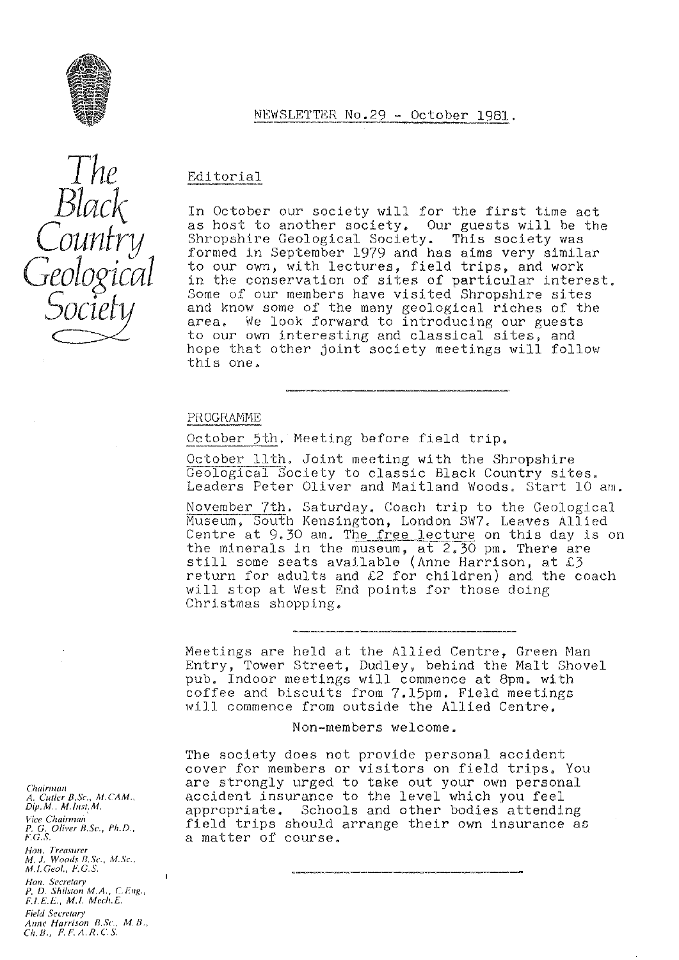

## Editorial

In October our society will for the first time act as host to another society, Our guests will be the Shropshire Geological Society. This society was formed in September 1979 and has aims very similar to our own, with lectures, field trips, and work in the conservation of sites of particular interest. Some of our members have visited Shropshire sites and know some of the many geological riches of the area. We look forward to introducing our guests to our own interesting and classical sites, and hope that other joint society meetings will follow this one

NEWSLETTER No.29 - October 1981.

### PROGRAMME

October 5th. Meeting before field trip.

October llth, Joint meeting with the Shropshire Geological Society to classic Black Country sites. Leaders Peter Oliver and Maitland Woods, Start 10 am.

November 7th. Saturday. Coach trip to the Geological Museum, South Kensington, London SW7. Leaves Allied Centre at  $9.30$  am. The free lecture on this day is on the minerals in the museum, at  $2.30$  pm. There are still some seats available (Anne Harrison, at  $\ell$ 3 seize best because available (inne harriben, as more coach will stop at West End points for those doing Christmas shopping.

Meetings are held at the Allied Centre, Green Man *Entry,* Tower Street, Dudley, behind the Malt Shovel pub. Indoor meetings will commence at 8pm. with coffee and biscuits from 7.15pm. Field meetings will commence from outside the Allied Centre.

Non-members welcome.

The society does not provide personal accident cover for members or visitors on field trips. You are strongly urged to take out your own personal accident insurance to the level which you feel appropriate. Schools and other bodies attending field trips should arrange their own insurance as a matter of course.

*Chuir,nun A. Cuflcr B.Sc.,Al. CAM., Dip. M., Yr.lrit. M. Vice Chairman P. G, Oliver 13.Sc., Ph.D., F.G.S. Hon. Treasurer M. J. Woods B. Sc., M.Sc., M.I.Geo/., F:G.S.* Hon. *Secretary P. D. Shilsron M.A., C.Lug., F,LE.E, M.I. Mech.E. Field Secretary Anru' Harrison B.,Sc., M. B. Ch. B., F. F.A.R.C'.S.*

 $\mathbf{I}$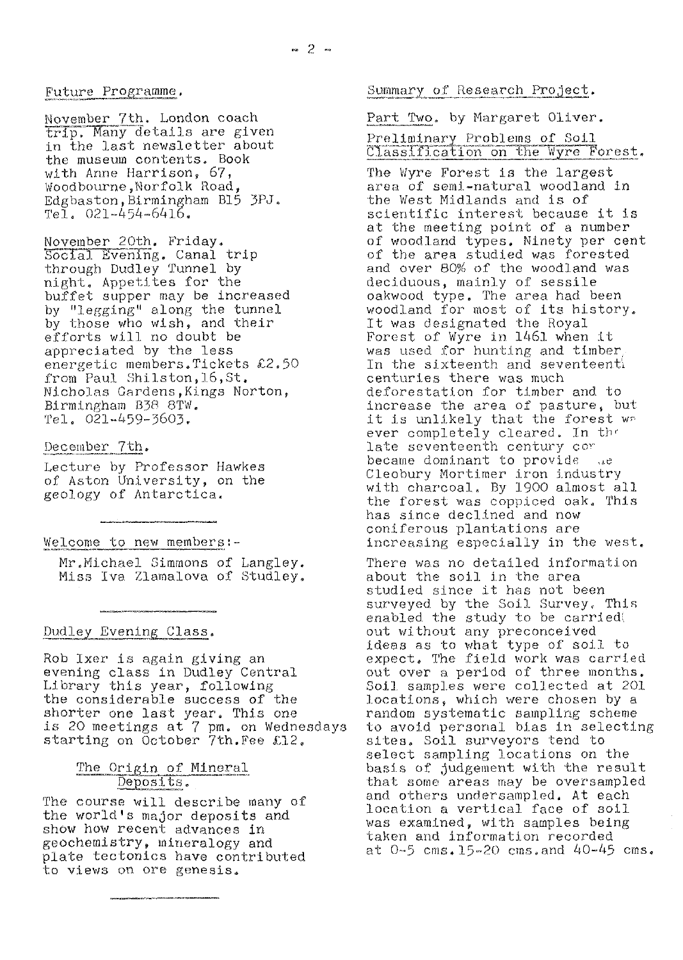#### Future Programme,

November 7th. London coach trip. Many details are given in the last newsletter about the museum contents. Book with Anne Harrison, 67, Woodbourne, Norfolk Road, Edgbaston, Birmingham B15 3PJ.  $Te\tilde{1}$ , 021-454-6416,

November 20th, Friday. Social Evening. Canal trip through Dudley Tunnel by night. Appetites for the buffet supper may be increased by "legging" along the tunnel by those who wish, and their efforts will no doubt be appreciated by the less energetic members.Tickets £2.50 from Paul Shilston, 16, St. Nicholas Gardens, Kings Norton, Birmingham 838 8TW.  $Te1.$   $021 - 459 - 3603.$ 

#### December 7th.

Lecture by Professor Hawkes of Aston University, on the geology of Antarctica.

#### Welcome to new members.:

Mr.Michael Simmons of Langley. Miss Iva Zlamalova of Studley.

#### Dudley Evening Class.

Rob Her is again giving an evening class in Dudley Central Library this year, following the considerable success of the shorter one last year. This one is 20 meetings at 7 pm. on Wednesdays starting on October 7th. Fee £12,

# The Origin of Mineral<br>Deposits.

The course will describe many of the world's major deposits and show how recent advances in geochemistry, mineralogy and plate tectonics have contributed to views on ore genesis.

#### Summary of Research Project.

# Part Two, by Margaret Oliver. Preliminary Problems of Soil Classification on the Wyre Forest.

The Wyre Forest is the largest area of semi-natural woodland in the West Midlands and is of scientific interest because it is at the meeting point of a number of woodland types, Ninety per cent of the area studied *was* forested and over 80% of the woodland was deciduous, mainly of sessile Oakwood type. The area had been woodland for most of its history. It was designated the Royal Forest of Wyre in 1461 when it was used for hunting and timber, In the sixteenth and seventeenth centuries there was much deforestation for timber and to increase the area of pasture, but it is unlikely that the forest wr. ever completely cleared. In the late seventeenth century cor became dominant to provide Cleobury Mortimer iron industry with charcoal. By 1900 almost all the forest was coppiced oak. This has since declined and now coniferous plantations are increasing especially in the west.

There was no detailed information about the soil in the area studied since it has not been surveyed by the Soil Survey, This enabled the study to be carried. out without any preconceived ideas as to what type of soil. to expect, The field work was carried out over a period of three months. Soil, samples were collected at 201 locations, which were chosen by a random systematic sampling scheme to avoid personal bias in selecting sites. Soil surveyors tend to select sampling locations on the basis of judgement with the result that some areas may be oversampled and others under sampled. At each location a vertical face of soil was examined, with samples being taken and information recorded at  $0-5$  cms. 15-20 cms. and  $40-45$  cms.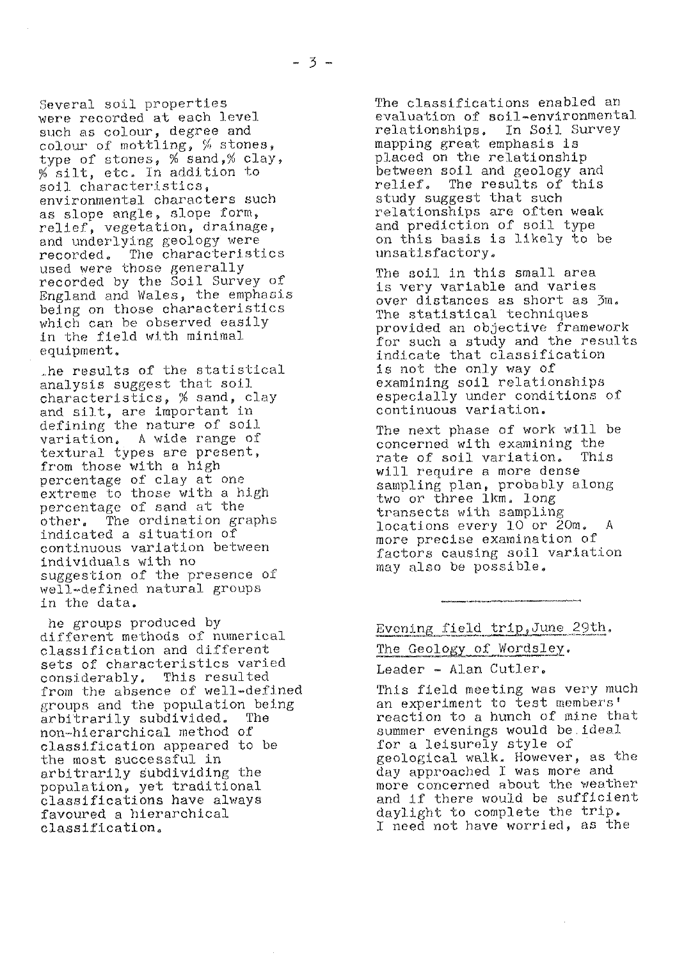Several soil properties were recorded at each level such as colour, degree and colour of mottling,  $%$  stones, type of stones, % sand,% clay,  $%$  silt, etc. In addition to soil characteristics, environmental characters such as slope angle, slope form, relief, vegetation, drainage, and underlying geology were recorded. The characteristics used were those generally recorded by the Soil *Survey* of England and Wales, the emphasis being on those characteristics which can be observed easily in the field with minimal. equipment

he results of the statistical analysis suggest that soil characteristics, % sand, clay and silt, are important in defining the nature of soil variation. A wide range of textural types are present, from those with a high percentage of clay at one extreme to those with a high percentage of sand at the<br>other. The ordination gr The ordination graphs indicated a situation of continuous variation between individuals with no suggestion of the presence of well-defined natural groups in the data.

he groups produced by different methods of numerical classification and different sets of characteristics varied considerably, This resulted *from* the absence of well-defined groups and the population being<br>arbitrarily subdivided. The arbitrarily subdivided. non-hierarchical method of classification appeared to be the most successful in arbitrarily subdividing the population, yet traditional classifications have *always* favoured a hierarchical classification,

The classifications enabled an evaluation of soil-environmental relationships, In Soil S*u*r*vey* mapping great emphasis is placed on the relationship between soil and geology and relief, The results of this study suggest that such relationships are often weak and prediction of soil type on this basis is likely to be unsatisfactory.

The soil in this small area is very variable and varies over distances as short as  $\mathfrak{Im}.$ The statistical techniques provided an objective framework for such a study and. the results indicate that classification Is not the only way of examining soil relationships especially under conditions of continuous variation.

The next phase of work will be concerned with examining the<br>rate of soil variation. This rate of soil variation. will require a more dense sampling plan, probably along two or three 1km. long transects with sampling locations every 10 or 20m. more precise examination of factors causing soil variation may also be possible

Evening field trip, June 29th.

The Geology of Wordsley.

Leader - Alan Cutler.

This field meeting was very much an experiment to test members' reaction to a hunch of mine that summer evenings would be ideal for a leisurely style of geological walk. However, as the day approached I was more and more concerned about the weather. and if there would be sufficient daylight to complete the trip, I need not have worried, as the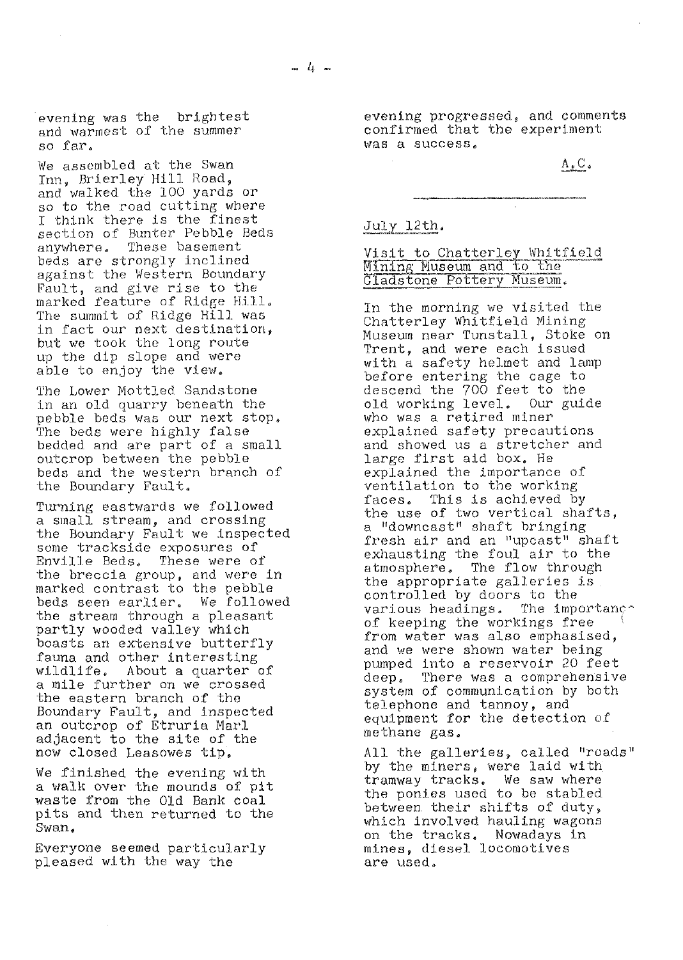evening was the brightest and warmest of the summer so far.

We assembled at the Swan Inn, Brierley Hill Road, and walked the 100 yards or so to the road cutting where I think there is the finest section of Bunter Pebble Beds<br>anywhere. These basement These basement *beds* are strongly inclined against the Western Boundary *Fault, and give rise to the* marked feature of Ridge Hill. The summit of Ridge Hill was in fact our next destination, but we took the long route up the dip slope and were able to enjoy the view.

The Lower Mottled Sandstone in an old quarry beneath the pebble beds was our next stop, The beds were highly false bedded and are part of a small outcrop between the pebble beds and the western branch of the Boundary Fault.

Turning eastwards we followed a small stream, and crossing the Boundary Fault we Inspected some trackside exposures of Enville Beds, These were of the breccia group, and were in marked contrast to the pebble beds seen earlier, We followed the stream through a pleasant partly wooded valley which boasts an *extensive* butterfly fauna and other interesting<br>wildlife. About a quarter About a quarter of a mile further on we crossed the eastern branch of the Boundary Fault, and inspected an outcrop of Etruria Marl *adjacent to the site of the* now closed Leasowes tip,

We finished, the evening with a walk over the mounds of pit waste from the Old. Bank coal pits and then returned to the Swan,

Everyone seemed particularly pleased with the way the

evening progressed, and comments confirmed that the experiment was a success,

 $A_{\bullet}C_{\bullet}$ 

#### July 12th.

Visit to Chatterley Whitfield *P* ...<br>11 adstone Pottery Museum.

*In the* morning we visited the Chatterley Whitfield Mining Museum near Tunstall, Stoke on Trent, and were each issued *with a safety helmet and lamp* before entering the cage to descend *the 700 feet to the* old working level, Our guide; who was a retired miner explained safety precautions and showed us a stretcher and *large* first aid box. *He* explained the importance of ventilation to the working faces® This is *achieved* by the use of two vertical shafts, a, "downcast" shaft bringing fresh air and an "upcast" shaft exhausting the foul air to the atmosphere, The flow through the appropriate galleries is controlled by doors to the various headings. The importance of keeping the workings free from water was also emphasised, and we were shown water being *pumped into a reservoir 20 feet* deep. There was a comprehensive system of communication *by both* telephone and. tannoy, and equipment for the detection of methane gas.

All the galleries, called "roads" by the miners, *were* laid with tramway tracks. We saw where the ponies used to be stabled between. their shifts of duty, which involved hauling wagons on the tracks. Nowadays in mines, diesel locomotives are used.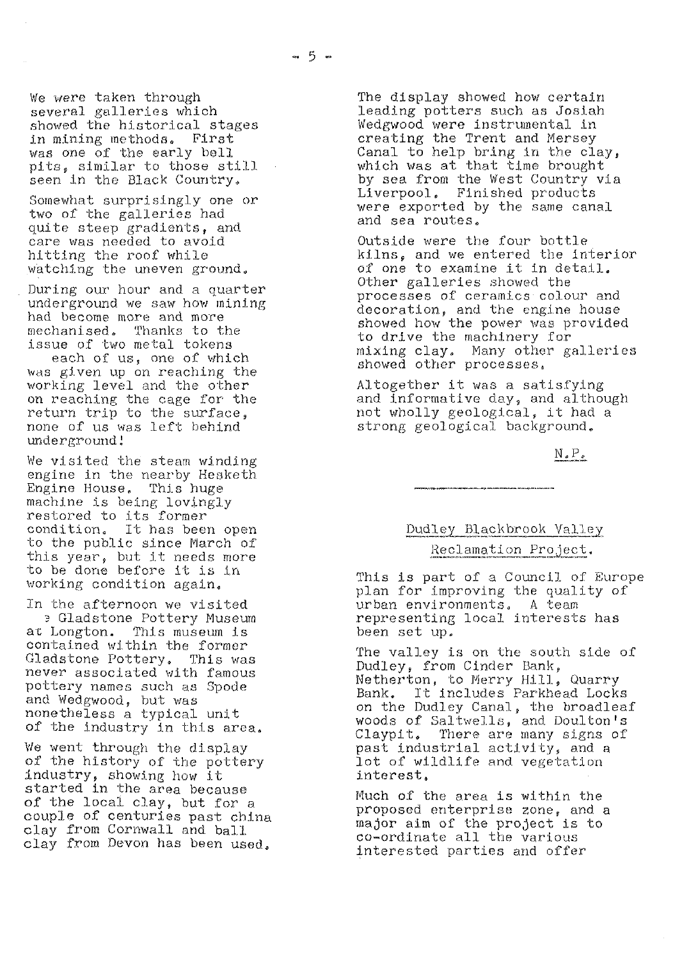We were taken through *several* galleries which showed the historical stages in mining methods. First was one of the early bell pits, similar to those still seen in the Black Country.

Somewhat surprisingly one or two of the galleries had quite steep gradients, and care was needed to avoid hitting the roof while watching the uneven ground,

During our hour and a quarter underground we *saw how* mining had become more and more mechanised, Thanks to the issue of two metal tokens

each of us, one of which was given up on reaching the working level and the other on reaching the cage for the return trip to the surface, none of us was left behind underground!

We visited the steam winding engine in the nearby Hesketh. Engine House. This huge machine is being lovingly restored to its former condition. It has been open to the public since March of this year, but it needs more to be done before it is in working condition again.

In the afternoon we visited at Gladstone Pottery Museum<br>at Longton. This museum is This museum is contained within the former Gladstone Pottery. This was never associated with famous pottery names such as Spode and Wedgwood, but *was* nonetheless a typical unit of the industry in this area.

*We went* through the display of the history of the pottery industry, showing how it started in the area because of the local clay, but for a couple of centuries past china clay from Cornwall and ball. clay from Devon has been used.

The display showed how certain leading potters such as Josiah Wedgwood were instrumental in creating the Trent and Mersey Canal to help bring in the clay, which was at that time brought by sea from the West Country via Liverpool. Finished products were exported by the same canal and sea routes.

Outside were the four bottle kilns, and we entered the interior of one to examine it In detail, Other galleries showed the processes of ceramics colour and decoration, and the engine house showed how the power was provided to drive the machinery for mixing clay, Many other galleries showed other processes,

Altogether it was a satisfying and informative day, and although not wholly geological, it had a strong geological background,

**N.** P,

# Dudley Blackbrook Valley Reclamation Project.

This is part of a Council of Europe plan for improving the quality of urban environments. A team representing local interests has been set up.

The valley is on the south side of Dudley, from Cinder Bank, Netherton, to Merry Hill, Quarry Bank. It includes Parkhead Locks on the Dudley Canal, the broadleaf woods of Saltwells, and Doulton's<br>Claypit. There are many signs of There are many signs of past industrial activity, and a lot of wildlife and vegetation interest,

Much of the area is within the proposed enterprise zone, and a proposed enserging fenct and co-ordinate all the various interested parties and offer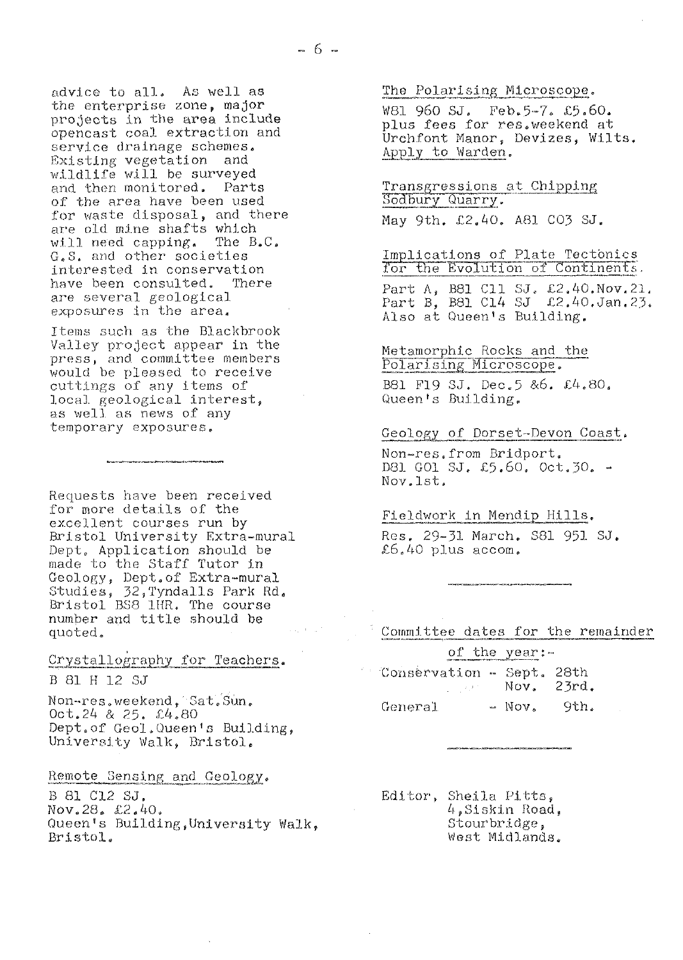advice to all. As well as the enterprise zone, major projects in the area include opencast coal extraction and service drainage schemes. Existing vegetation and<br>wildlife will be surveyed and then monitored. Parts of the area have been used for waste disposal, and there are old mine shafts which will need capping. The  $B.C.$ G.S. and other societies interested in conservation have been consulted. There are several geological exposures in the area.

Items such as the Blackbrook Valley project appear in the press, and committee members would be pleased to receive cuttings of any items of local geological interest, as well as news of any temporary exposures.

Requests have been received for more details of the excellent courses run by Bristol University Extra-mural Dept. Application should be made to the Staff Tutor in Geology, Dept.of Extra-mural Studies, 32, Tyndalls Park Rd.<br>Bristol BS8 1HR. The course number and title should be quoted.

.<br>A contra es presidente de Middleberg e estila de Middleberg e estadounidense.

Crystallography for Teachers.

B 81 H 12 SJ

Non-res.weekend, Sat.Sun.  $0ct.24$  & 25.  $\&4.80$ Dept.of Geol. Queen's Building, University Walk, Bristol.

Remote Sensing and Geology.

B 81 C12 SJ. Nov.28. £2.40. Queen's Building, University Walk. Bristol.

The Polarising Microscope.

W81 960 SJ. Feb.5-7. £5.60. plus fees for res.weekend at Urchfont Manor, Devizes, Wilts. Apply to Warden.

Transgressions at Chipping Sodbury Quarry.

May 9th. £2.40. A81 CO3 SJ.

Implications of Plate Tectonics for the Evolution of Continents. Part A, B81 C11 SJ. £2.40. Nov. 21.<br>Part B, B81 C14 SJ £2.40. Jan. 23. Also at Queen's Building.

Metamorphic Rocks and the Polarising Microscope. B81 F19 SJ. Dec. 5 & 6. £4.80. Queen's Building.

Geology of Dorset-Devon Coast.

Non-res.from Bridport. D81 G01 SJ. £5.60. Oct.30. -Nov. 1st.

Fieldwork in Mendip Hills.

Res, 29-31 March. S81 951 SJ. £6.40 plus  $\arccos$ .

Committee dates for the remainder

of the year: Conservation - Sept. 28th Nov. 23rd.  $\mathcal{L}_{\mathcal{L}}$  , and  $\mathcal{L}_{\mathcal{L}}$  , and  $\mathcal{L}_{\mathcal{L}}$ General  $\sim$  Nov. 9th.

Editor, Sheila Pitts, 4.Siskin Road. Stourbridge. West Midlands.